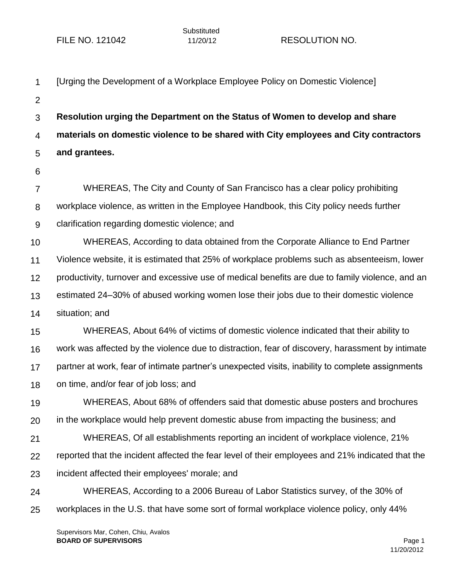| 1              | [Urging the Development of a Workplace Employee Policy on Domestic Violence]                     |
|----------------|--------------------------------------------------------------------------------------------------|
| $\overline{2}$ |                                                                                                  |
| 3              | Resolution urging the Department on the Status of Women to develop and share                     |
| $\overline{4}$ | materials on domestic violence to be shared with City employees and City contractors             |
| 5              | and grantees.                                                                                    |
| 6              |                                                                                                  |
| $\overline{7}$ | WHEREAS, The City and County of San Francisco has a clear policy prohibiting                     |
| 8              | workplace violence, as written in the Employee Handbook, this City policy needs further          |
| 9              | clarification regarding domestic violence; and                                                   |
| 10             | WHEREAS, According to data obtained from the Corporate Alliance to End Partner                   |
| 11             | Violence website, it is estimated that 25% of workplace problems such as absenteeism, lower      |
| 12             | productivity, turnover and excessive use of medical benefits are due to family violence, and an  |
| 13             | estimated 24–30% of abused working women lose their jobs due to their domestic violence          |
| 14             | situation; and                                                                                   |
| 15             | WHEREAS, About 64% of victims of domestic violence indicated that their ability to               |
| 16             | work was affected by the violence due to distraction, fear of discovery, harassment by intimate  |
| 17             | partner at work, fear of intimate partner's unexpected visits, inability to complete assignments |
| 18             | on time, and/or fear of job loss; and                                                            |
| 19             | WHEREAS, About 68% of offenders said that domestic abuse posters and brochures                   |
| 20             | in the workplace would help prevent domestic abuse from impacting the business; and              |
| 21             | WHEREAS, Of all establishments reporting an incident of workplace violence, 21%                  |
| 22             | reported that the incident affected the fear level of their employees and 21% indicated that the |
| 23             | incident affected their employees' morale; and                                                   |
| 24             | WHEREAS, According to a 2006 Bureau of Labor Statistics survey, of the 30% of                    |
| 25             | workplaces in the U.S. that have some sort of formal workplace violence policy, only 44%         |
|                |                                                                                                  |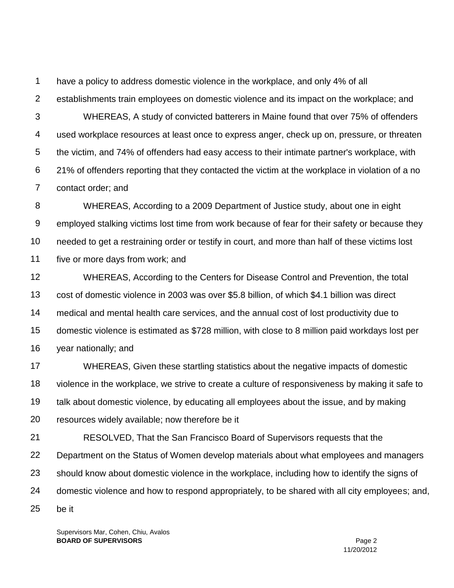1 have a policy to address domestic violence in the workplace, and only 4% of all

2 establishments train employees on domestic violence and its impact on the workplace; and

3 4 5 6 7 WHEREAS, A study of convicted batterers in Maine found that over 75% of offenders used workplace resources at least once to express anger, check up on, pressure, or threaten the victim, and 74% of offenders had easy access to their intimate partner's workplace, with 21% of offenders reporting that they contacted the victim at the workplace in violation of a no contact order; and

8 9 10 11 WHEREAS, According to a 2009 Department of Justice study, about one in eight employed stalking victims lost time from work because of fear for their safety or because they needed to get a restraining order or testify in court, and more than half of these victims lost five or more days from work; and

12 13 14 15 16 WHEREAS, According to the Centers for Disease Control and Prevention, the total cost of domestic violence in 2003 was over \$5.8 billion, of which \$4.1 billion was direct medical and mental health care services, and the annual cost of lost productivity due to domestic violence is estimated as \$728 million, with close to 8 million paid workdays lost per year nationally; and

17 18 19 20 WHEREAS, Given these startling statistics about the negative impacts of domestic violence in the workplace, we strive to create a culture of responsiveness by making it safe to talk about domestic violence, by educating all employees about the issue, and by making resources widely available; now therefore be it

21 22 23 24 25 RESOLVED, That the San Francisco Board of Supervisors requests that the Department on the Status of Women develop materials about what employees and managers should know about domestic violence in the workplace, including how to identify the signs of domestic violence and how to respond appropriately, to be shared with all city employees; and, be it